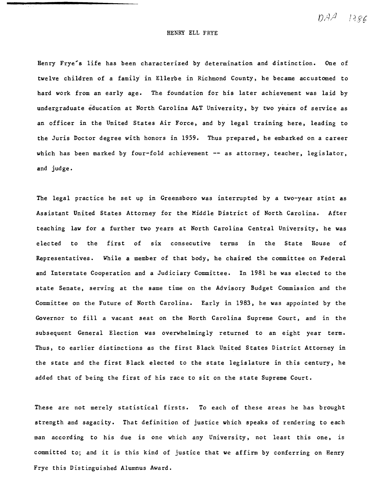$DAA$   $1386$ 

## HENRY ELL FRYE

Henry Frye's life has been characterized by determination and distinction. One of twelve children of a family' in Ellerbe in Richmond County, he became accustomed to hard work from an early age. The foundation for his later achievement was laid by undergraduate education at North Carolina A&T University, by two years of service as an officer in the United States Air Force, and by legal training here, leading to the Juris Doctor degree with honors in 1959. Thus prepared, he embarked on a career which has been marked by four-fold achievement -- as attorney, teacher, legislator, and judge.

The legal practice he set up in Greensboro was interrupted by a two-year stint as Assistant United States Attorney for the Middle District of North Carolina. After teaching law for a further two years at North Carolina Central University, he was elected to the first of six consecutive terms in the State House of Representatives. While a member of that body, he chaired the committee on Federal and Interstate Cooperation and a Judiciary Committee. In 1981 he was elected to the state Senate, serving at the same time on the Advisory Budget Commission and the Committee on the Future of North Carolina. Early in 1983, he was appointed by the Governor to fill a vacant seat on the North Carolina Supreme Court, and in the subsequent General Election was overwhelmingly returned to an eight year term. Thus, to earlier distinctions as the first Black United States District Attorney in the state and the first Black elected to the state legislature in this century, he added that of being the first of his race to sit on the state Supreme Court.

These are not merely statistical firsts. To each of these areas he has brought strength and sagacity. That definition of justice which speaks of rendering to each man according to his due is one which any University, not least this one, is committed to; and it is this kind of justice that we affirm by conferring on Henry Frye this Distinguished Alumnus Award.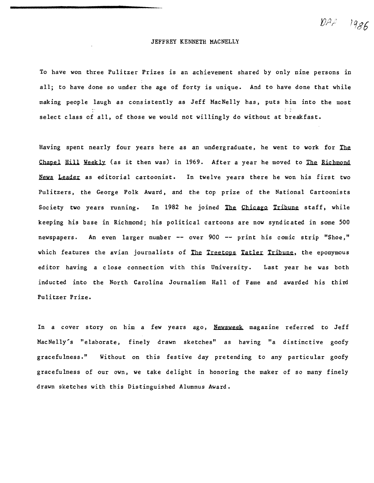JEFFREY KENNETH MACNELLY

To have won three Pulitzer Prizes is an achievement shared by only nine persons in all; to have done so under the age of forty is unique. And to have done that while making people laugh as consistently as Jeff MacNelly has. puts him into the most select class of all, of those we would not willingly do without at breakfast.

Having spent nearly four years here as an undergraduate, he went to work for The Chapel Hill Weekly (as it then was) in 1969. After a year he moved to The Richmond News Leader as editorial cartoonist. In twelve years there he won his first two Pu1itzers. the George Polk Award, and the top prize of the National Cartoonists Society two years running. In 1982 he joined The Chicago Tribune staff, while keeping his base in Richmond; his political cartoons are now syndicated in some 500 newspapers. An even larger number **--** over 900 **--** print his comic strip "Shoe." which features the avian journalists of The Treetops Tatler Tribune, the eponymous editor having a close connection with this University. Last year he was both inducted into the North Carolina Journalism Hall of Fame and awarded his third Pulitzer Prize.

In a cover story on him a few years ago, Newsweek magazine referred to Jeff MacNelly's "elaborate. finely drawn sketches" as having "a distinctive goofy gracefu 1ness." Without on this festive day pretending to any particular goofy gracefulness of our own. we take delight in honoring the maker of so many finely drawn sketches with this Distinguished Alumnus Award.

 $\mathcal{D} \beta \beta$  .  $1986$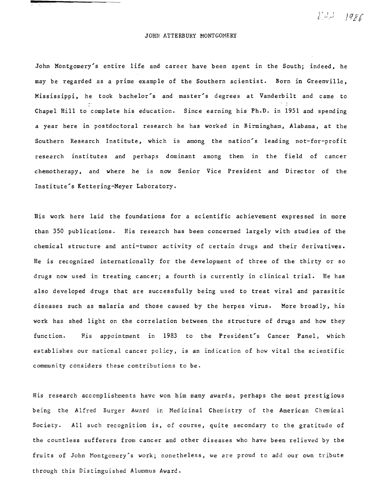I' I 1 *i* .. ...;

## JOHN ATTERBURY MONTGOMERY

John Montgomery's entire life and career have been spent in the South; indeed, he may be regarded as a prime example of the Southern scientist. Born in Greenville, Mississippi, he took bachelor's and master's degrees at Vanderbilt and came to Chapel Hill to complete his education. Since earning his Ph.D. in 1951 and spending a year here in postdoctoral research he has worked in Birmingham. Alabama, at the Southern Research Institute, which is among the nation's leading not-for-profit research institutes and perhaps dominant among them in the field of cancer chemotherapy, and where he is now Senior Vice President and Director of the Institute's Kettering-Meyer Laboratory.

His work here laid the foundations for a scientific achievement expressed in more than 350 publications. His research has been concerned largely with studies of the chemical structure and anti-tumor activity of certain drugs and their derivatives. He is recognized internationally for the development of three of the thirty or so drugs now used in treating cancer; a fourth is currently in clinical trial. He has also developed drugs that are successfully being used to treat viral and parasitic diseases such as malaria and those caused by the herpes virus. More broadly, his work has shed light on the correlation between the structure of drugs and how they function. His appointment in 1983 to the President's Cancer Panel, which establishes our national cancer policy, is an indication of how vital the scientific community considers these contributions to be.

His research accomplishments have won him many awards, perhaps the most prestigious being the Alfred Burger Award in Medicinal Chemistry of the American Chemical Society. All such recognition is, of course, quite secondary to the gratitude of the countless sufferers from cancer and other diseases who have been relieved by the fruits of John Montgomery's work; nonetheless, we *are* proud to add our own tribute through this Distinguished Alumnus Award.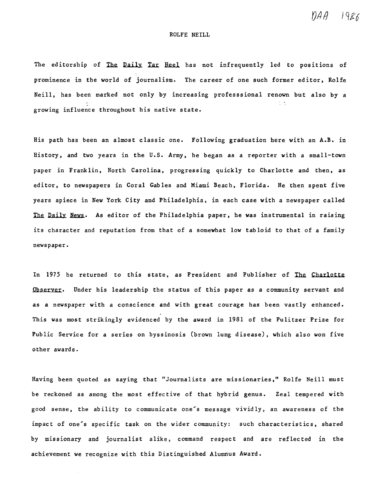*YjA* f}

## ROLFE NEILL

The editorship of The Daily Tar Heel has not infrequently led to positions of prominence in the world of journalism. The career of one such former editor, Rolfe Neill, has been marked not only by increasing professsional renown but also by a growing influence throughout his native state.

His path has been an almost classic one. Following graduation here with an A.B. in History, and two years in the U.s. Army, he began as a reporter with a small-town paper in Franklin, North Carolina, progressing quickly to Charlotte and then, as editor, to newspapers in Coral Gables and Miami Beach, Florida. He then spent five years apiece in New York City and Philadelphia, in each case with a newspaper called The Daily News. As editor of the Philadelphia paper, he was instrumental in raising its character and reputation from that of a somewhat low tabloid to that of a family newspaper.

In 1975 he returned to this state, as President and Publisher of The Charlotte Observer. Under his leadership the status of this paper as a community servant and as a newspaper with a conscience and with great courage has been vastly enhanced. This was most strikingly evidenced by the award in 1981 of the Pulitzer" Prize for Public Service for a series on byssinosis (brown lung disease), which also won five other awards.

Having been quoted as saying that "Journalists are missionaries," Rolfe Neill must be reckoned as among the most effective of that hybrid genus. Zeal tempered with good sense, the ability to communicate one"s message vividly, an awareness of the impact of one's specific task on the wider community: such characteristics, shared by missionary and journalist alike, command respect and are reflected in the achievement we recognize with this Distinguished Alumnus Award.